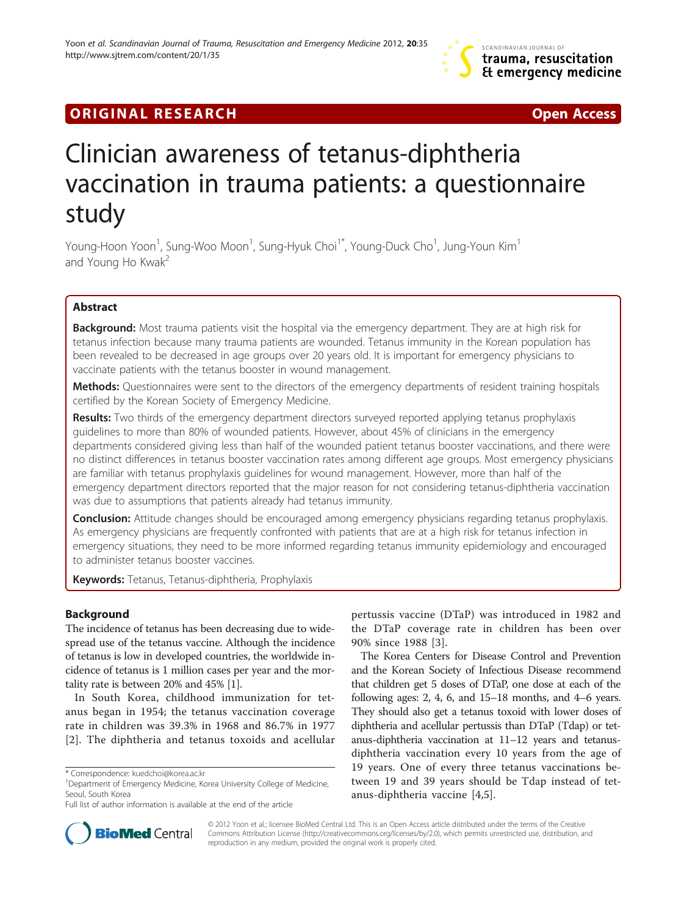# **ORIGINAL RESEARCH CONFIDENTIAL CONSUMING A LOCAL CONFIDENTIAL CONFIDENTIAL CONFIDENTIAL CONFIDENTIAL CONFIDENTI**

# Clinician awareness of tetanus-diphtheria vaccination in trauma patients: a questionnaire study

Young-Hoon Yoon<sup>1</sup>, Sung-Woo Moon<sup>1</sup>, Sung-Hyuk Choi<sup>1\*</sup>, Young-Duck Cho<sup>1</sup>, Jung-Youn Kim<sup>1</sup> and Young Ho Kwak<sup>2</sup>

# Abstract

**Background:** Most trauma patients visit the hospital via the emergency department. They are at high risk for tetanus infection because many trauma patients are wounded. Tetanus immunity in the Korean population has been revealed to be decreased in age groups over 20 years old. It is important for emergency physicians to vaccinate patients with the tetanus booster in wound management.

Methods: Questionnaires were sent to the directors of the emergency departments of resident training hospitals certified by the Korean Society of Emergency Medicine.

Results: Two thirds of the emergency department directors surveyed reported applying tetanus prophylaxis guidelines to more than 80% of wounded patients. However, about 45% of clinicians in the emergency departments considered giving less than half of the wounded patient tetanus booster vaccinations, and there were no distinct differences in tetanus booster vaccination rates among different age groups. Most emergency physicians are familiar with tetanus prophylaxis guidelines for wound management. However, more than half of the emergency department directors reported that the major reason for not considering tetanus-diphtheria vaccination was due to assumptions that patients already had tetanus immunity.

**Conclusion:** Attitude changes should be encouraged among emergency physicians regarding tetanus prophylaxis. As emergency physicians are frequently confronted with patients that are at a high risk for tetanus infection in emergency situations, they need to be more informed regarding tetanus immunity epidemiology and encouraged to administer tetanus booster vaccines.

Keywords: Tetanus, Tetanus-diphtheria, Prophylaxis

# Background

The incidence of tetanus has been decreasing due to widespread use of the tetanus vaccine. Although the incidence of tetanus is low in developed countries, the worldwide incidence of tetanus is 1 million cases per year and the mortality rate is between 20% and 45% [\[1](#page-3-0)].

In South Korea, childhood immunization for tetanus began in 1954; the tetanus vaccination coverage rate in children was 39.3% in 1968 and 86.7% in 1977 [[2](#page-3-0)]. The diphtheria and tetanus toxoids and acellular

pertussis vaccine (DTaP) was introduced in 1982 and the DTaP coverage rate in children has been over 90% since 1988 [[3\]](#page-3-0).

The Korea Centers for Disease Control and Prevention and the Korean Society of Infectious Disease recommend that children get 5 doses of DTaP, one dose at each of the following ages: 2, 4, 6, and  $15-18$  months, and  $4-6$  years. They should also get a tetanus toxoid with lower doses of diphtheria and acellular pertussis than DTaP (Tdap) or tetanus-diphtheria vaccination at 11–12 years and tetanusdiphtheria vaccination every 10 years from the age of 19 years. One of every three tetanus vaccinations between 19 and 39 years should be Tdap instead of tetanus-diphtheria vaccine [\[4,5](#page-3-0)].



© 2012 Yoon et al.; licensee BioMed Central Ltd. This is an Open Access article distributed under the terms of the Creative Commons Attribution License [\(http://creativecommons.org/licenses/by/2.0\)](http://www.ksid.or.kr/file/Vaccination_pdf.pdf), which permits unrestricted use, distribution, and reproduction in any medium, provided the original work is properly cited.

<sup>\*</sup> Correspondence: [kuedchoi@korea.ac.kr](mailto:kuedchoi@korea.ac.kr) <sup>1</sup>

<sup>&</sup>lt;sup>1</sup>Department of Emergency Medicine, Korea University College of Medicine, Seoul, South Korea

Full list of author information is available at the end of the article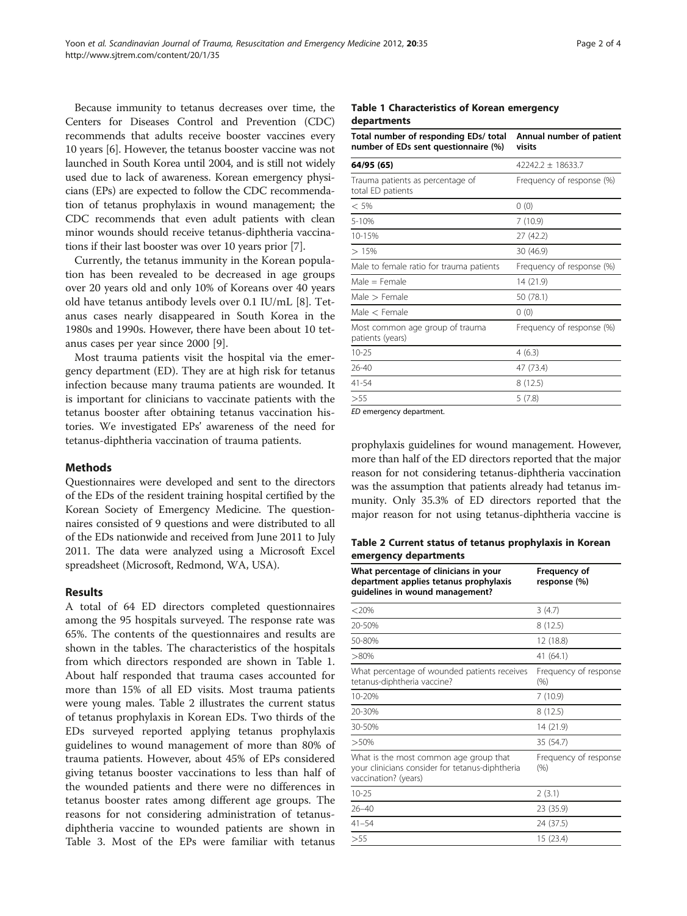Because immunity to tetanus decreases over time, the Centers for Diseases Control and Prevention (CDC) recommends that adults receive booster vaccines every 10 years [\[6\]](#page-3-0). However, the tetanus booster vaccine was not launched in South Korea until 2004, and is still not widely used due to lack of awareness. Korean emergency physicians (EPs) are expected to follow the CDC recommendation of tetanus prophylaxis in wound management; the CDC recommends that even adult patients with clean minor wounds should receive tetanus-diphtheria vaccinations if their last booster was over 10 years prior [[7\]](#page-3-0).

Currently, the tetanus immunity in the Korean population has been revealed to be decreased in age groups over 20 years old and only 10% of Koreans over 40 years old have tetanus antibody levels over 0.1 IU/mL [[8\]](#page-3-0). Tetanus cases nearly disappeared in South Korea in the 1980s and 1990s. However, there have been about 10 tetanus cases per year since 2000 [[9\]](#page-3-0).

Most trauma patients visit the hospital via the emergency department (ED). They are at high risk for tetanus infection because many trauma patients are wounded. It is important for clinicians to vaccinate patients with the tetanus booster after obtaining tetanus vaccination histories. We investigated EPs' awareness of the need for tetanus-diphtheria vaccination of trauma patients.

# Methods

Questionnaires were developed and sent to the directors of the EDs of the resident training hospital certified by the Korean Society of Emergency Medicine. The questionnaires consisted of 9 questions and were distributed to all of the EDs nationwide and received from June 2011 to July 2011. The data were analyzed using a Microsoft Excel spreadsheet (Microsoft, Redmond, WA, USA).

# Results

A total of 64 ED directors completed questionnaires among the 95 hospitals surveyed. The response rate was 65%. The contents of the questionnaires and results are shown in the tables. The characteristics of the hospitals from which directors responded are shown in Table 1. About half responded that trauma cases accounted for more than 15% of all ED visits. Most trauma patients were young males. Table 2 illustrates the current status of tetanus prophylaxis in Korean EDs. Two thirds of the EDs surveyed reported applying tetanus prophylaxis guidelines to wound management of more than 80% of trauma patients. However, about 45% of EPs considered giving tetanus booster vaccinations to less than half of the wounded patients and there were no differences in tetanus booster rates among different age groups. The reasons for not considering administration of tetanusdiphtheria vaccine to wounded patients are shown in Table [3](#page-2-0). Most of the EPs were familiar with tetanus

#### Table 1 Characteristics of Korean emergency departments

| Total number of responding EDs/ total<br>number of EDs sent questionnaire (%) | Annual number of patient<br>visits |
|-------------------------------------------------------------------------------|------------------------------------|
| 64/95 (65)                                                                    | $42242.2 + 18633.7$                |
| Trauma patients as percentage of<br>total ED patients                         | Frequency of response (%)          |
| $< 5\%$                                                                       | 0(0)                               |
| 5-10%                                                                         | 7(10.9)                            |
| 10-15%                                                                        | 27 (42.2)                          |
| >15%                                                                          | 30(46.9)                           |
| Male to female ratio for trauma patients                                      | Frequency of response (%)          |
| $Male = Female$                                                               | 14 (21.9)                          |
| Male $>$ Female                                                               | 50 (78.1)                          |
| Male $<$ Female                                                               | 0(0)                               |
| Most common age group of trauma<br>patients (years)                           | Frequency of response (%)          |
| $10 - 25$                                                                     | 4(6.3)                             |
| 26-40                                                                         | 47 (73.4)                          |
| 41-54                                                                         | 8(12.5)                            |
| >55                                                                           | 5(7.8)                             |

ED emergency department.

prophylaxis guidelines for wound management. However, more than half of the ED directors reported that the major reason for not considering tetanus-diphtheria vaccination was the assumption that patients already had tetanus immunity. Only 35.3% of ED directors reported that the major reason for not using tetanus-diphtheria vaccine is

# Table 2 Current status of tetanus prophylaxis in Korean emergency departments

| What percentage of clinicians in your<br>department applies tetanus prophylaxis<br>guidelines in wound management? | <b>Frequency of</b><br>response (%) |  |
|--------------------------------------------------------------------------------------------------------------------|-------------------------------------|--|
| $< 20\%$                                                                                                           | 3(4.7)                              |  |
| 20-50%                                                                                                             | 8(12.5)                             |  |
| 50-80%                                                                                                             | 12 (18.8)                           |  |
| $>80\%$                                                                                                            | 41 (64.1)                           |  |
| What percentage of wounded patients receives<br>tetanus-diphtheria vaccine?                                        | Frequency of response<br>$(\% )$    |  |
| 10-20%                                                                                                             | 7(10.9)                             |  |
| 20-30%                                                                                                             | 8(12.5)                             |  |
| 30-50%                                                                                                             | 14 (21.9)                           |  |
| >50%                                                                                                               | 35 (54.7)                           |  |
| What is the most common age group that<br>your clinicians consider for tetanus-diphtheria<br>vaccination? (years)  | Frequency of response<br>$(\% )$    |  |
| $10 - 25$                                                                                                          | 2(3.1)                              |  |
| $26 - 40$                                                                                                          | 23 (35.9)                           |  |
| 41–54                                                                                                              | 24 (37.5)                           |  |
| >55                                                                                                                | 15 (23.4)                           |  |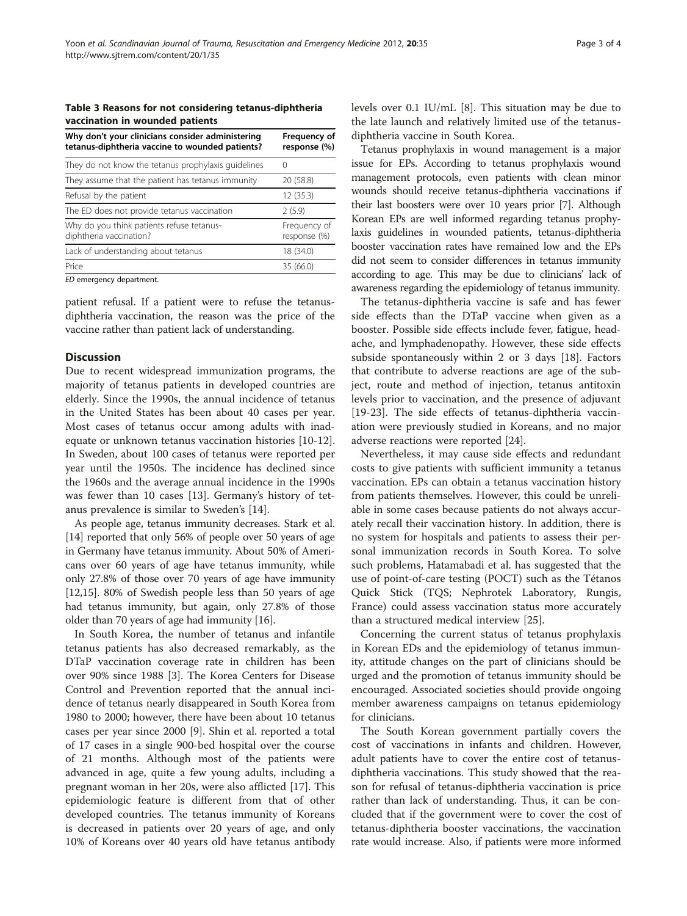#### <span id="page-2-0"></span>Table 3 Reasons for not considering tetanus-diphtheria vaccination in wounded patients

| Why don't your clinicians consider administering<br>tetanus-diphtheria vaccine to wounded patients? | Frequency of<br>response (%) |
|-----------------------------------------------------------------------------------------------------|------------------------------|
| They do not know the tetanus prophylaxis guidelines                                                 | $\left($                     |
| They assume that the patient has tetanus immunity                                                   | 20 (58.8)                    |
| Refusal by the patient                                                                              | 12(35.3)                     |
| The ED does not provide tetanus vaccination                                                         | 2(5.9)                       |
| Why do you think patients refuse tetanus-<br>diphtheria vaccination?                                | Frequency of<br>response (%) |
| Lack of understanding about tetanus                                                                 | 18 (34.0)                    |
| Price                                                                                               | 35 (66.0)                    |
|                                                                                                     |                              |

ED emergency department.

patient refusal. If a patient were to refuse the tetanusdiphtheria vaccination, the reason was the price of the vaccine rather than patient lack of understanding.

## **Discussion**

Due to recent widespread immunization programs, the majority of tetanus patients in developed countries are elderly. Since the 1990s, the annual incidence of tetanus in the United States has been about 40 cases per year. Most cases of tetanus occur among adults with inadequate or unknown tetanus vaccination histories [\[10-12](#page-3-0)]. In Sweden, about 100 cases of tetanus were reported per year until the 1950s. The incidence has declined since the 1960s and the average annual incidence in the 1990s was fewer than 10 cases [\[13](#page-3-0)]. Germany's history of tetanus prevalence is similar to Sweden's [[14](#page-3-0)].

As people age, tetanus immunity decreases. Stark et al. [[14](#page-3-0)] reported that only 56% of people over 50 years of age in Germany have tetanus immunity. About 50% of Americans over 60 years of age have tetanus immunity, while only 27.8% of those over 70 years of age have immunity [[12,15](#page-3-0)]. 80% of Swedish people less than 50 years of age had tetanus immunity, but again, only 27.8% of those older than 70 years of age had immunity [\[16\]](#page-3-0).

In South Korea, the number of tetanus and infantile tetanus patients has also decreased remarkably, as the DTaP vaccination coverage rate in children has been over 90% since 1988 [[3](#page-3-0)]. The Korea Centers for Disease Control and Prevention reported that the annual incidence of tetanus nearly disappeared in South Korea from 1980 to 2000; however, there have been about 10 tetanus cases per year since 2000 [[9\]](#page-3-0). Shin et al. reported a total of 17 cases in a single 900-bed hospital over the course of 21 months. Although most of the patients were advanced in age, quite a few young adults, including a pregnant woman in her 20s, were also afflicted [\[17](#page-3-0)]. This epidemiologic feature is different from that of other developed countries. The tetanus immunity of Koreans is decreased in patients over 20 years of age, and only 10% of Koreans over 40 years old have tetanus antibody levels over 0.1 IU/mL [[8](#page-3-0)]. This situation may be due to the late launch and relatively limited use of the tetanusdiphtheria vaccine in South Korea.

Tetanus prophylaxis in wound management is a major issue for EPs. According to tetanus prophylaxis wound management protocols, even patients with clean minor wounds should receive tetanus-diphtheria vaccinations if their last boosters were over 10 years prior [[7](#page-3-0)]. Although Korean EPs are well informed regarding tetanus prophylaxis guidelines in wounded patients, tetanus-diphtheria booster vaccination rates have remained low and the EPs did not seem to consider differences in tetanus immunity according to age. This may be due to clinicians' lack of awareness regarding the epidemiology of tetanus immunity.

The tetanus-diphtheria vaccine is safe and has fewer side effects than the DTaP vaccine when given as a booster. Possible side effects include fever, fatigue, headache, and lymphadenopathy. However, these side effects subside spontaneously within 2 or 3 days [[18](#page-3-0)]. Factors that contribute to adverse reactions are age of the subject, route and method of injection, tetanus antitoxin levels prior to vaccination, and the presence of adjuvant [[19-23](#page-3-0)]. The side effects of tetanus-diphtheria vaccination were previously studied in Koreans, and no major adverse reactions were reported [\[24\]](#page-3-0).

Nevertheless, it may cause side effects and redundant costs to give patients with sufficient immunity a tetanus vaccination. EPs can obtain a tetanus vaccination history from patients themselves. However, this could be unreliable in some cases because patients do not always accurately recall their vaccination history. In addition, there is no system for hospitals and patients to assess their personal immunization records in South Korea. To solve such problems, Hatamabadi et al. has suggested that the use of point-of-care testing (POCT) such as the Tétanos Quick Stick (TQS; Nephrotek Laboratory, Rungis, France) could assess vaccination status more accurately than a structured medical interview [\[25\]](#page-3-0).

Concerning the current status of tetanus prophylaxis in Korean EDs and the epidemiology of tetanus immunity, attitude changes on the part of clinicians should be urged and the promotion of tetanus immunity should be encouraged. Associated societies should provide ongoing member awareness campaigns on tetanus epidemiology for clinicians.

The South Korean government partially covers the cost of vaccinations in infants and children. However, adult patients have to cover the entire cost of tetanusdiphtheria vaccinations. This study showed that the reason for refusal of tetanus-diphtheria vaccination is price rather than lack of understanding. Thus, it can be concluded that if the government were to cover the cost of tetanus-diphtheria booster vaccinations, the vaccination rate would increase. Also, if patients were more informed